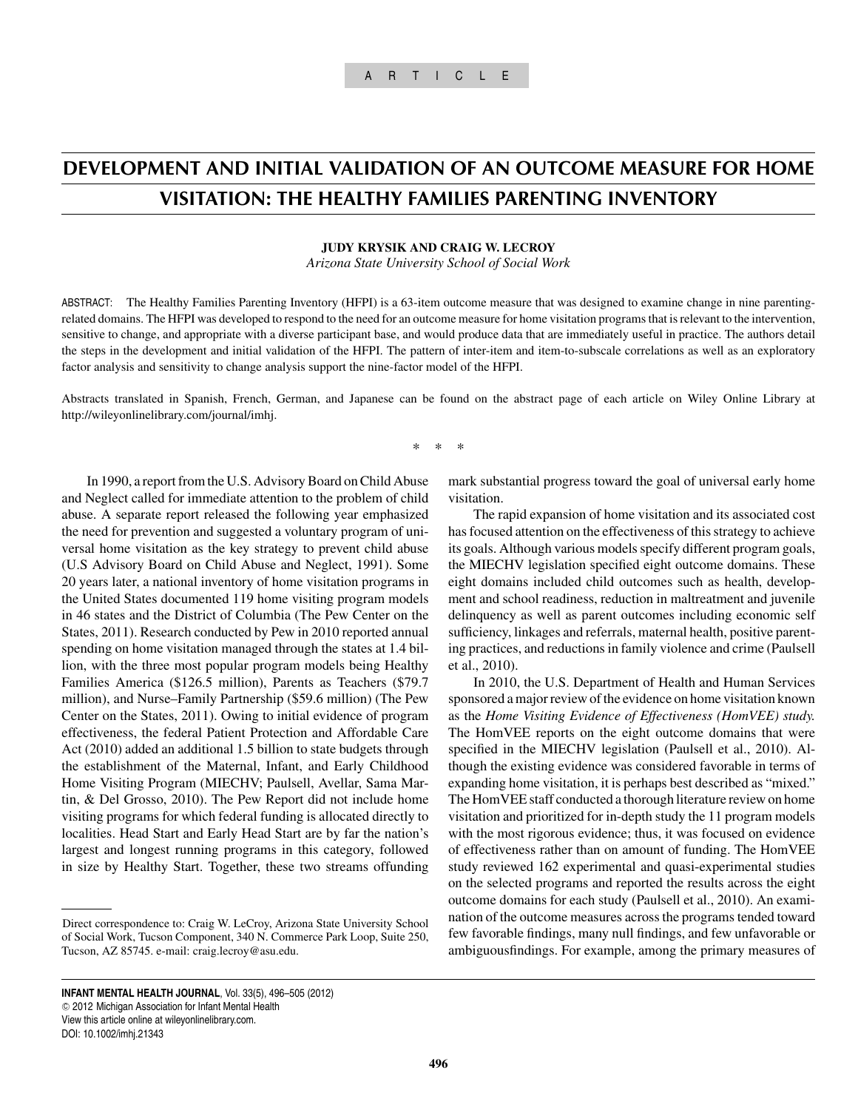# **DEVELOPMENT AND INITIAL VALIDATION OF AN OUTCOME MEASURE FOR HOME VISITATION: THE HEALTHY FAMILIES PARENTING INVENTORY**

## **JUDY KRYSIK AND CRAIG W. LECROY**

*Arizona State University School of Social Work*

ABSTRACT: The Healthy Families Parenting Inventory (HFPI) is a 63-item outcome measure that was designed to examine change in nine parentingrelated domains. The HFPI was developed to respond to the need for an outcome measure for home visitation programs that is relevant to the intervention, sensitive to change, and appropriate with a diverse participant base, and would produce data that are immediately useful in practice. The authors detail the steps in the development and initial validation of the HFPI. The pattern of inter-item and item-to-subscale correlations as well as an exploratory factor analysis and sensitivity to change analysis support the nine-factor model of the HFPI.

Abstracts translated in Spanish, French, German, and Japanese can be found on the abstract page of each article on Wiley Online Library at http://wileyonlinelibrary.com/journal/imhj.

\*\*\*

In 1990, a report from the U.S. Advisory Board on Child Abuse and Neglect called for immediate attention to the problem of child abuse. A separate report released the following year emphasized the need for prevention and suggested a voluntary program of universal home visitation as the key strategy to prevent child abuse (U.S Advisory Board on Child Abuse and Neglect, 1991). Some 20 years later, a national inventory of home visitation programs in the United States documented 119 home visiting program models in 46 states and the District of Columbia (The Pew Center on the States, 2011). Research conducted by Pew in 2010 reported annual spending on home visitation managed through the states at 1.4 billion, with the three most popular program models being Healthy Families America (\$126.5 million), Parents as Teachers (\$79.7 million), and Nurse–Family Partnership (\$59.6 million) (The Pew Center on the States, 2011). Owing to initial evidence of program effectiveness, the federal Patient Protection and Affordable Care Act (2010) added an additional 1.5 billion to state budgets through the establishment of the Maternal, Infant, and Early Childhood Home Visiting Program (MIECHV; Paulsell, Avellar, Sama Martin, & Del Grosso, 2010). The Pew Report did not include home visiting programs for which federal funding is allocated directly to localities. Head Start and Early Head Start are by far the nation's largest and longest running programs in this category, followed in size by Healthy Start. Together, these two streams offunding

Direct correspondence to: Craig W. LeCroy, Arizona State University School of Social Work, Tucson Component, 340 N. Commerce Park Loop, Suite 250, Tucson, AZ 85745. e-mail: craig.lecroy@asu.edu.

mark substantial progress toward the goal of universal early home visitation.

The rapid expansion of home visitation and its associated cost has focused attention on the effectiveness of this strategy to achieve its goals. Although various models specify different program goals, the MIECHV legislation specified eight outcome domains. These eight domains included child outcomes such as health, development and school readiness, reduction in maltreatment and juvenile delinquency as well as parent outcomes including economic self sufficiency, linkages and referrals, maternal health, positive parenting practices, and reductions in family violence and crime (Paulsell et al., 2010).

In 2010, the U.S. Department of Health and Human Services sponsored a major review of the evidence on home visitation known as the *Home Visiting Evidence of Effectiveness (HomVEE) study.* The HomVEE reports on the eight outcome domains that were specified in the MIECHV legislation (Paulsell et al., 2010). Although the existing evidence was considered favorable in terms of expanding home visitation, it is perhaps best described as "mixed." The HomVEE staff conducted a thorough literature review on home visitation and prioritized for in-depth study the 11 program models with the most rigorous evidence; thus, it was focused on evidence of effectiveness rather than on amount of funding. The HomVEE study reviewed 162 experimental and quasi-experimental studies on the selected programs and reported the results across the eight outcome domains for each study (Paulsell et al., 2010). An examination of the outcome measures across the programs tended toward few favorable findings, many null findings, and few unfavorable or ambiguousfindings. For example, among the primary measures of

**INFANT MENTAL HEALTH JOURNAL**, Vol. 33(5), 496–505 (2012) © 2012 Michigan Association for Infant Mental Health View this article online at wileyonlinelibrary.com. DOI: 10.1002/imhj.21343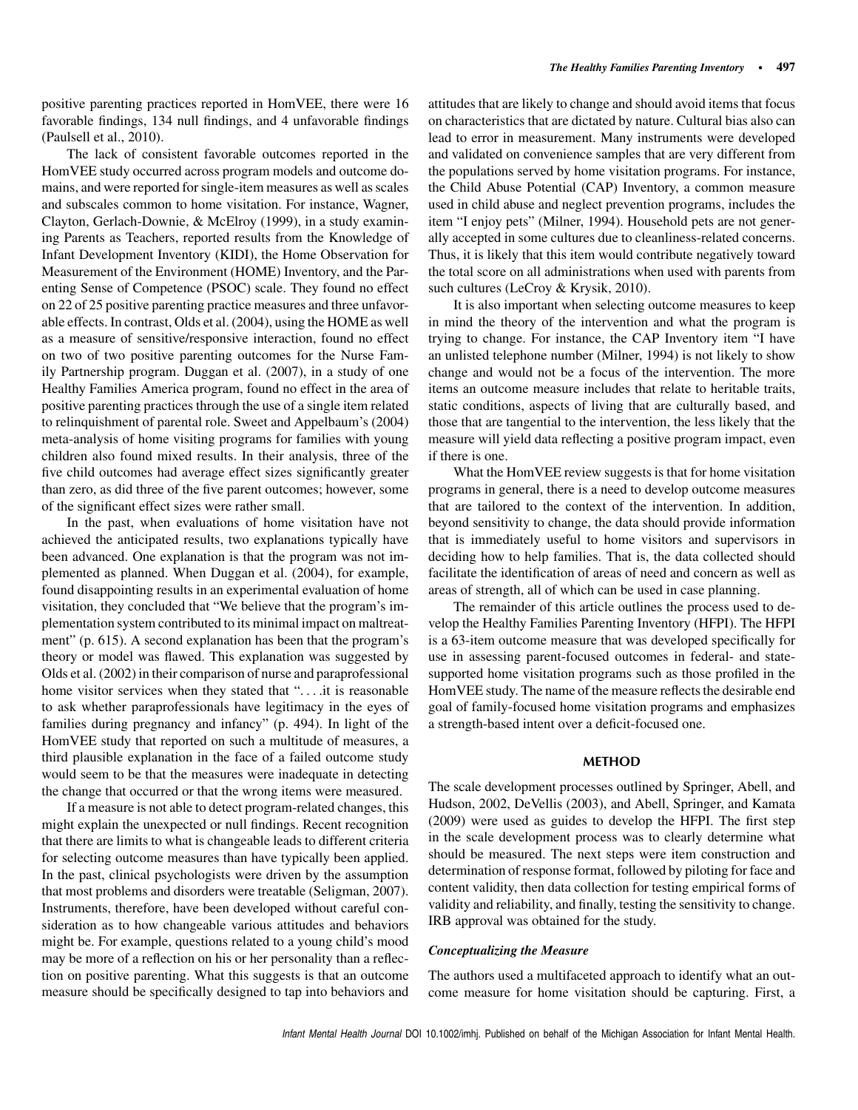positive parenting practices reported in HomVEE, there were 16 favorable findings, 134 null findings, and 4 unfavorable findings (Paulsell et al., 2010).

The lack of consistent favorable outcomes reported in the HomVEE study occurred across program models and outcome domains, and were reported for single-item measures as well as scales and subscales common to home visitation. For instance, Wagner, Clayton, Gerlach-Downie, & McElroy (1999), in a study examining Parents as Teachers, reported results from the Knowledge of Infant Development Inventory (KIDI), the Home Observation for Measurement of the Environment (HOME) Inventory, and the Parenting Sense of Competence (PSOC) scale. They found no effect on 22 of 25 positive parenting practice measures and three unfavorable effects. In contrast, Olds et al. (2004), using the HOME as well as a measure of sensitive/responsive interaction, found no effect on two of two positive parenting outcomes for the Nurse Family Partnership program. Duggan et al. (2007), in a study of one Healthy Families America program, found no effect in the area of positive parenting practices through the use of a single item related to relinquishment of parental role. Sweet and Appelbaum's (2004) meta-analysis of home visiting programs for families with young children also found mixed results. In their analysis, three of the five child outcomes had average effect sizes significantly greater than zero, as did three of the five parent outcomes; however, some of the significant effect sizes were rather small.

In the past, when evaluations of home visitation have not achieved the anticipated results, two explanations typically have been advanced. One explanation is that the program was not implemented as planned. When Duggan et al. (2004), for example, found disappointing results in an experimental evaluation of home visitation, they concluded that "We believe that the program's implementation system contributed to its minimal impact on maltreatment" (p. 615). A second explanation has been that the program's theory or model was flawed. This explanation was suggested by Olds et al. (2002) in their comparison of nurse and paraprofessional home visitor services when they stated that "... .it is reasonable to ask whether paraprofessionals have legitimacy in the eyes of families during pregnancy and infancy" (p. 494). In light of the HomVEE study that reported on such a multitude of measures, a third plausible explanation in the face of a failed outcome study would seem to be that the measures were inadequate in detecting the change that occurred or that the wrong items were measured.

If a measure is not able to detect program-related changes, this might explain the unexpected or null findings. Recent recognition that there are limits to what is changeable leads to different criteria for selecting outcome measures than have typically been applied. In the past, clinical psychologists were driven by the assumption that most problems and disorders were treatable (Seligman, 2007). Instruments, therefore, have been developed without careful consideration as to how changeable various attitudes and behaviors might be. For example, questions related to a young child's mood may be more of a reflection on his or her personality than a reflection on positive parenting. What this suggests is that an outcome measure should be specifically designed to tap into behaviors and

attitudes that are likely to change and should avoid items that focus on characteristics that are dictated by nature. Cultural bias also can lead to error in measurement. Many instruments were developed and validated on convenience samples that are very different from the populations served by home visitation programs. For instance, the Child Abuse Potential (CAP) Inventory, a common measure used in child abuse and neglect prevention programs, includes the item "I enjoy pets" (Milner, 1994). Household pets are not generally accepted in some cultures due to cleanliness-related concerns. Thus, it is likely that this item would contribute negatively toward the total score on all administrations when used with parents from such cultures (LeCroy & Krysik, 2010).

It is also important when selecting outcome measures to keep in mind the theory of the intervention and what the program is trying to change. For instance, the CAP Inventory item "I have an unlisted telephone number (Milner, 1994) is not likely to show change and would not be a focus of the intervention. The more items an outcome measure includes that relate to heritable traits, static conditions, aspects of living that are culturally based, and those that are tangential to the intervention, the less likely that the measure will yield data reflecting a positive program impact, even if there is one.

What the HomVEE review suggests is that for home visitation programs in general, there is a need to develop outcome measures that are tailored to the context of the intervention. In addition, beyond sensitivity to change, the data should provide information that is immediately useful to home visitors and supervisors in deciding how to help families. That is, the data collected should facilitate the identification of areas of need and concern as well as areas of strength, all of which can be used in case planning.

The remainder of this article outlines the process used to develop the Healthy Families Parenting Inventory (HFPI). The HFPI is a 63-item outcome measure that was developed specifically for use in assessing parent-focused outcomes in federal- and statesupported home visitation programs such as those profiled in the HomVEE study. The name of the measure reflects the desirable end goal of family-focused home visitation programs and emphasizes a strength-based intent over a deficit-focused one.

## **METHOD**

The scale development processes outlined by Springer, Abell, and Hudson, 2002, DeVellis (2003), and Abell, Springer, and Kamata (2009) were used as guides to develop the HFPI. The first step in the scale development process was to clearly determine what should be measured. The next steps were item construction and determination of response format, followed by piloting for face and content validity, then data collection for testing empirical forms of validity and reliability, and finally, testing the sensitivity to change. IRB approval was obtained for the study.

#### *Conceptualizing the Measure*

The authors used a multifaceted approach to identify what an outcome measure for home visitation should be capturing. First, a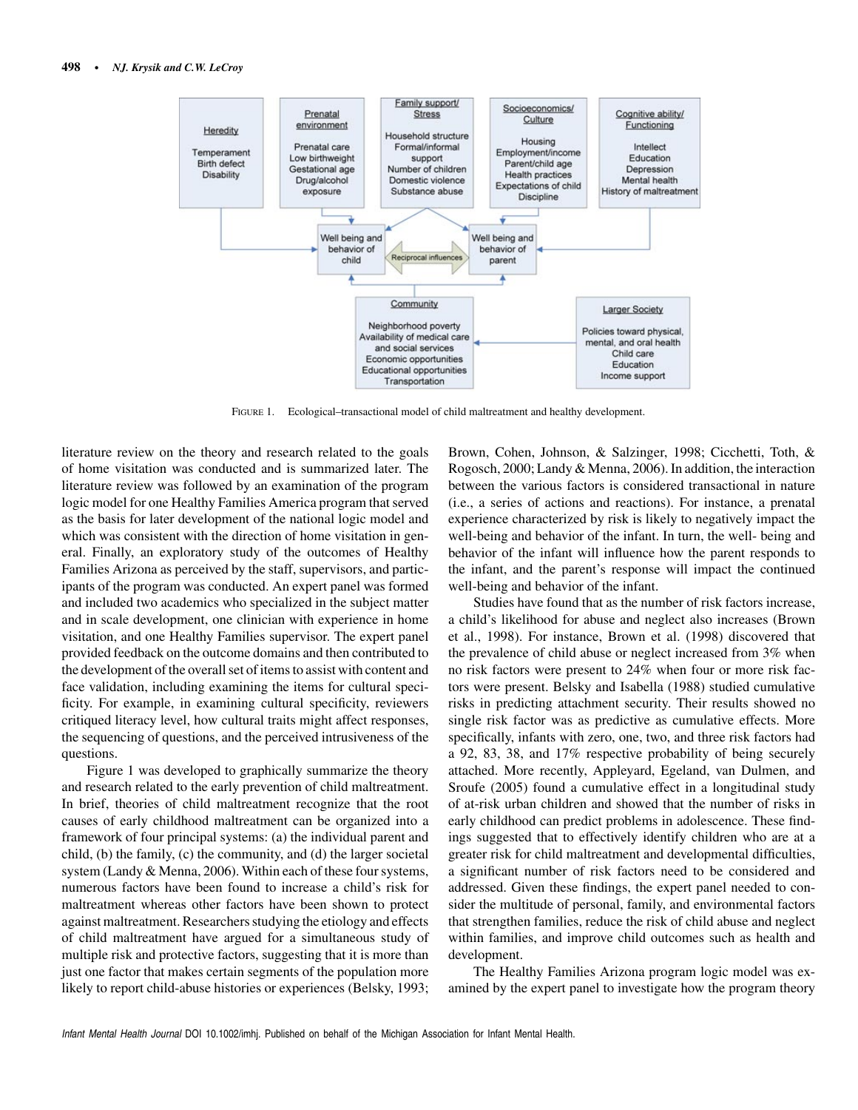

FIGURE 1. Ecological–transactional model of child maltreatment and healthy development.

literature review on the theory and research related to the goals of home visitation was conducted and is summarized later. The literature review was followed by an examination of the program logic model for one Healthy Families America program that served as the basis for later development of the national logic model and which was consistent with the direction of home visitation in general. Finally, an exploratory study of the outcomes of Healthy Families Arizona as perceived by the staff, supervisors, and participants of the program was conducted. An expert panel was formed and included two academics who specialized in the subject matter and in scale development, one clinician with experience in home visitation, and one Healthy Families supervisor. The expert panel provided feedback on the outcome domains and then contributed to the development of the overall set of items to assist with content and face validation, including examining the items for cultural specificity. For example, in examining cultural specificity, reviewers critiqued literacy level, how cultural traits might affect responses, the sequencing of questions, and the perceived intrusiveness of the questions.

Figure 1 was developed to graphically summarize the theory and research related to the early prevention of child maltreatment. In brief, theories of child maltreatment recognize that the root causes of early childhood maltreatment can be organized into a framework of four principal systems: (a) the individual parent and child, (b) the family, (c) the community, and (d) the larger societal system (Landy & Menna, 2006). Within each of these four systems, numerous factors have been found to increase a child's risk for maltreatment whereas other factors have been shown to protect against maltreatment. Researchers studying the etiology and effects of child maltreatment have argued for a simultaneous study of multiple risk and protective factors, suggesting that it is more than just one factor that makes certain segments of the population more likely to report child-abuse histories or experiences (Belsky, 1993;

Brown, Cohen, Johnson, & Salzinger, 1998; Cicchetti, Toth, & Rogosch, 2000; Landy & Menna, 2006). In addition, the interaction between the various factors is considered transactional in nature (i.e., a series of actions and reactions). For instance, a prenatal experience characterized by risk is likely to negatively impact the well-being and behavior of the infant. In turn, the well- being and behavior of the infant will influence how the parent responds to the infant, and the parent's response will impact the continued well-being and behavior of the infant.

Studies have found that as the number of risk factors increase, a child's likelihood for abuse and neglect also increases (Brown et al., 1998). For instance, Brown et al. (1998) discovered that the prevalence of child abuse or neglect increased from 3% when no risk factors were present to 24% when four or more risk factors were present. Belsky and Isabella (1988) studied cumulative risks in predicting attachment security. Their results showed no single risk factor was as predictive as cumulative effects. More specifically, infants with zero, one, two, and three risk factors had a 92, 83, 38, and 17% respective probability of being securely attached. More recently, Appleyard, Egeland, van Dulmen, and Sroufe (2005) found a cumulative effect in a longitudinal study of at-risk urban children and showed that the number of risks in early childhood can predict problems in adolescence. These findings suggested that to effectively identify children who are at a greater risk for child maltreatment and developmental difficulties, a significant number of risk factors need to be considered and addressed. Given these findings, the expert panel needed to consider the multitude of personal, family, and environmental factors that strengthen families, reduce the risk of child abuse and neglect within families, and improve child outcomes such as health and development.

The Healthy Families Arizona program logic model was examined by the expert panel to investigate how the program theory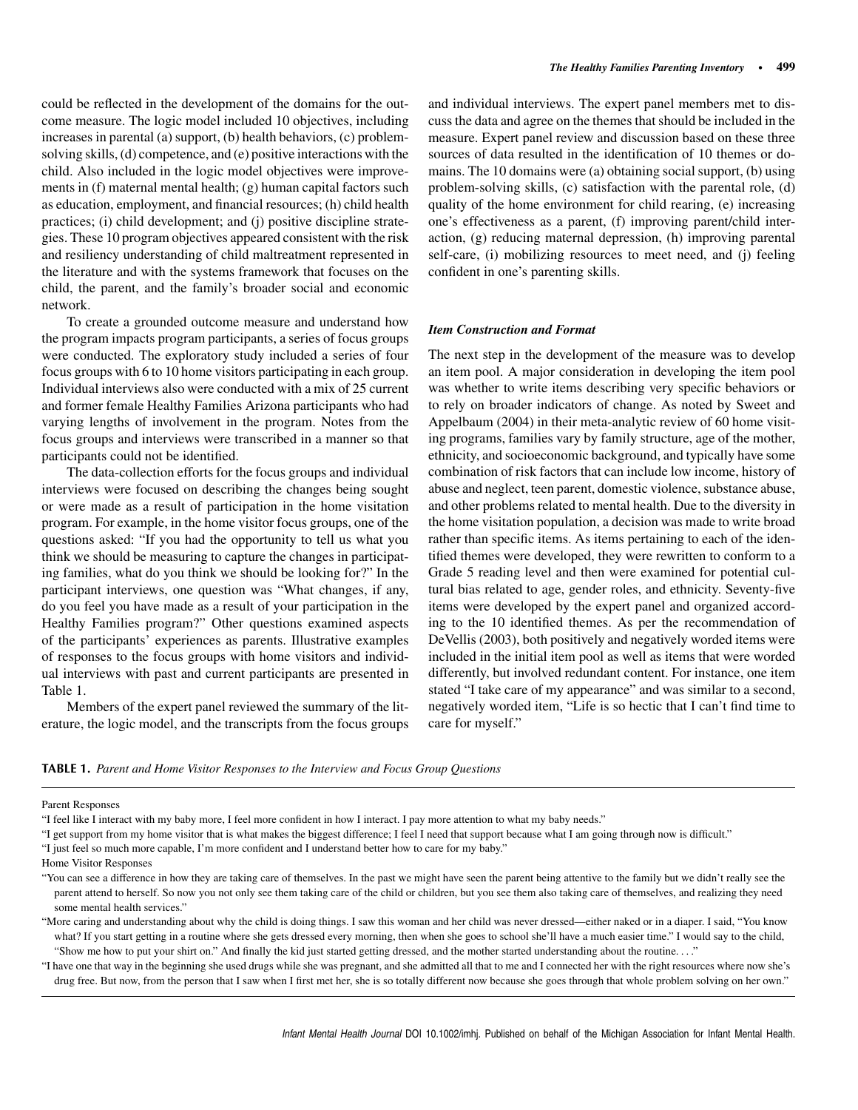could be reflected in the development of the domains for the outcome measure. The logic model included 10 objectives, including increases in parental (a) support, (b) health behaviors, (c) problemsolving skills, (d) competence, and (e) positive interactions with the child. Also included in the logic model objectives were improvements in (f) maternal mental health; (g) human capital factors such as education, employment, and financial resources; (h) child health practices; (i) child development; and (j) positive discipline strategies. These 10 program objectives appeared consistent with the risk and resiliency understanding of child maltreatment represented in the literature and with the systems framework that focuses on the child, the parent, and the family's broader social and economic network.

To create a grounded outcome measure and understand how the program impacts program participants, a series of focus groups were conducted. The exploratory study included a series of four focus groups with 6 to 10 home visitors participating in each group. Individual interviews also were conducted with a mix of 25 current and former female Healthy Families Arizona participants who had varying lengths of involvement in the program. Notes from the focus groups and interviews were transcribed in a manner so that participants could not be identified.

The data-collection efforts for the focus groups and individual interviews were focused on describing the changes being sought or were made as a result of participation in the home visitation program. For example, in the home visitor focus groups, one of the questions asked: "If you had the opportunity to tell us what you think we should be measuring to capture the changes in participating families, what do you think we should be looking for?" In the participant interviews, one question was "What changes, if any, do you feel you have made as a result of your participation in the Healthy Families program?" Other questions examined aspects of the participants' experiences as parents. Illustrative examples of responses to the focus groups with home visitors and individual interviews with past and current participants are presented in Table 1.

Members of the expert panel reviewed the summary of the literature, the logic model, and the transcripts from the focus groups

and individual interviews. The expert panel members met to discuss the data and agree on the themes that should be included in the measure. Expert panel review and discussion based on these three sources of data resulted in the identification of 10 themes or domains. The 10 domains were (a) obtaining social support, (b) using problem-solving skills, (c) satisfaction with the parental role, (d) quality of the home environment for child rearing, (e) increasing one's effectiveness as a parent, (f) improving parent/child interaction, (g) reducing maternal depression, (h) improving parental self-care, (i) mobilizing resources to meet need, and (j) feeling confident in one's parenting skills.

## *Item Construction and Format*

The next step in the development of the measure was to develop an item pool. A major consideration in developing the item pool was whether to write items describing very specific behaviors or to rely on broader indicators of change. As noted by Sweet and Appelbaum (2004) in their meta-analytic review of 60 home visiting programs, families vary by family structure, age of the mother, ethnicity, and socioeconomic background, and typically have some combination of risk factors that can include low income, history of abuse and neglect, teen parent, domestic violence, substance abuse, and other problems related to mental health. Due to the diversity in the home visitation population, a decision was made to write broad rather than specific items. As items pertaining to each of the identified themes were developed, they were rewritten to conform to a Grade 5 reading level and then were examined for potential cultural bias related to age, gender roles, and ethnicity. Seventy-five items were developed by the expert panel and organized according to the 10 identified themes. As per the recommendation of DeVellis (2003), both positively and negatively worded items were included in the initial item pool as well as items that were worded differently, but involved redundant content. For instance, one item stated "I take care of my appearance" and was similar to a second, negatively worded item, "Life is so hectic that I can't find time to care for myself."



Parent Responses

"I feel like I interact with my baby more, I feel more confident in how I interact. I pay more attention to what my baby needs."

"I get support from my home visitor that is what makes the biggest difference; I feel I need that support because what I am going through now is difficult."

"I just feel so much more capable, I'm more confident and I understand better how to care for my baby."

- Home Visitor Responses
- "You can see a difference in how they are taking care of themselves. In the past we might have seen the parent being attentive to the family but we didn't really see the parent attend to herself. So now you not only see them taking care of the child or children, but you see them also taking care of themselves, and realizing they need some mental health services."
- "More caring and understanding about why the child is doing things. I saw this woman and her child was never dressed—either naked or in a diaper. I said, "You know what? If you start getting in a routine where she gets dressed every morning, then when she goes to school she'll have a much easier time." I would say to the child, "Show me how to put your shirt on." And finally the kid just started getting dressed, and the mother started understanding about the routine. . . ."
- "I have one that way in the beginning she used drugs while she was pregnant, and she admitted all that to me and I connected her with the right resources where now she's drug free. But now, from the person that I saw when I first met her, she is so totally different now because she goes through that whole problem solving on her own."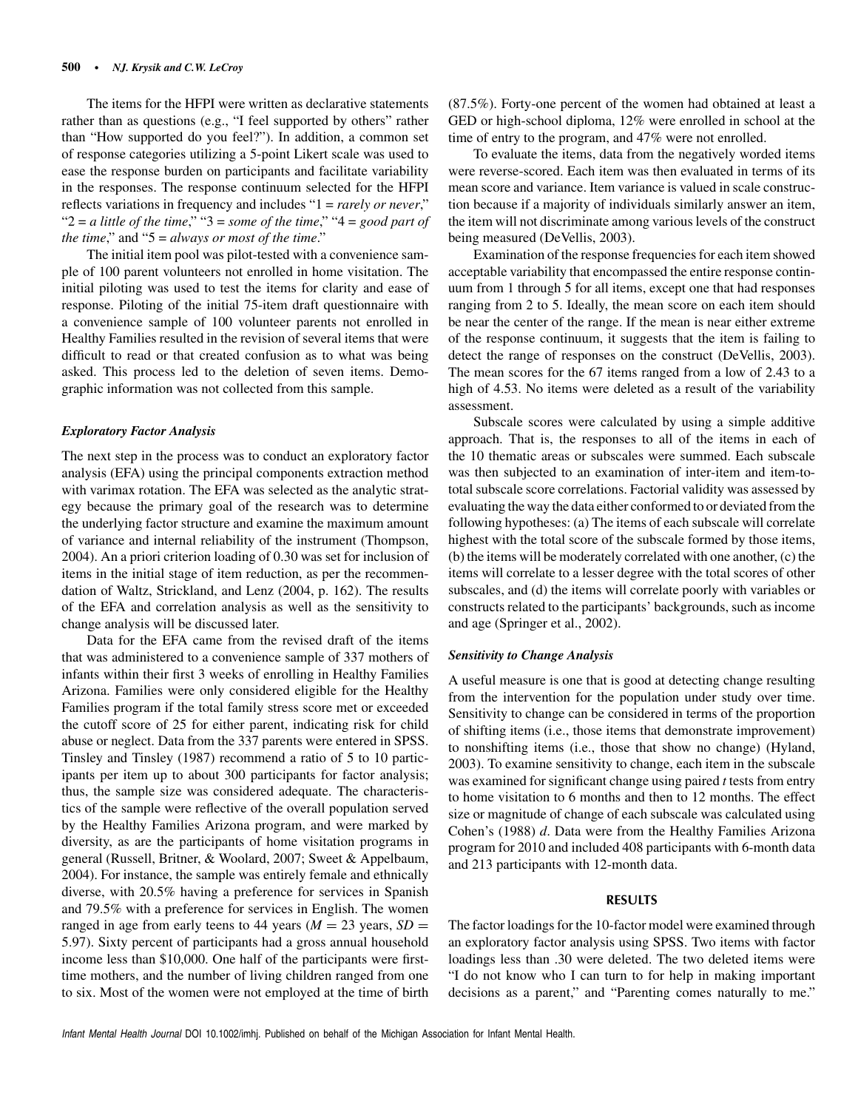The items for the HFPI were written as declarative statements rather than as questions (e.g., "I feel supported by others" rather than "How supported do you feel?"). In addition, a common set of response categories utilizing a 5-point Likert scale was used to ease the response burden on participants and facilitate variability in the responses. The response continuum selected for the HFPI reflects variations in frequency and includes "1 = *rarely or never*," "2 = *a little of the time*," "3 = *some of the time*," "4 = *good part of the time*," and "5 = *always or most of the time*."

The initial item pool was pilot-tested with a convenience sample of 100 parent volunteers not enrolled in home visitation. The initial piloting was used to test the items for clarity and ease of response. Piloting of the initial 75-item draft questionnaire with a convenience sample of 100 volunteer parents not enrolled in Healthy Families resulted in the revision of several items that were difficult to read or that created confusion as to what was being asked. This process led to the deletion of seven items. Demographic information was not collected from this sample.

### *Exploratory Factor Analysis*

The next step in the process was to conduct an exploratory factor analysis (EFA) using the principal components extraction method with varimax rotation. The EFA was selected as the analytic strategy because the primary goal of the research was to determine the underlying factor structure and examine the maximum amount of variance and internal reliability of the instrument (Thompson, 2004). An a priori criterion loading of 0.30 was set for inclusion of items in the initial stage of item reduction, as per the recommendation of Waltz, Strickland, and Lenz (2004, p. 162). The results of the EFA and correlation analysis as well as the sensitivity to change analysis will be discussed later.

Data for the EFA came from the revised draft of the items that was administered to a convenience sample of 337 mothers of infants within their first 3 weeks of enrolling in Healthy Families Arizona. Families were only considered eligible for the Healthy Families program if the total family stress score met or exceeded the cutoff score of 25 for either parent, indicating risk for child abuse or neglect. Data from the 337 parents were entered in SPSS. Tinsley and Tinsley (1987) recommend a ratio of 5 to 10 participants per item up to about 300 participants for factor analysis; thus, the sample size was considered adequate. The characteristics of the sample were reflective of the overall population served by the Healthy Families Arizona program, and were marked by diversity, as are the participants of home visitation programs in general (Russell, Britner, & Woolard, 2007; Sweet & Appelbaum, 2004). For instance, the sample was entirely female and ethnically diverse, with 20.5% having a preference for services in Spanish and 79.5% with a preference for services in English. The women ranged in age from early teens to 44 years ( $M = 23$  years,  $SD =$ 5.97). Sixty percent of participants had a gross annual household income less than \$10,000. One half of the participants were firsttime mothers, and the number of living children ranged from one to six. Most of the women were not employed at the time of birth

(87.5%). Forty-one percent of the women had obtained at least a GED or high-school diploma, 12% were enrolled in school at the time of entry to the program, and 47% were not enrolled.

To evaluate the items, data from the negatively worded items were reverse-scored. Each item was then evaluated in terms of its mean score and variance. Item variance is valued in scale construction because if a majority of individuals similarly answer an item, the item will not discriminate among various levels of the construct being measured (DeVellis, 2003).

Examination of the response frequencies for each item showed acceptable variability that encompassed the entire response continuum from 1 through 5 for all items, except one that had responses ranging from 2 to 5. Ideally, the mean score on each item should be near the center of the range. If the mean is near either extreme of the response continuum, it suggests that the item is failing to detect the range of responses on the construct (DeVellis, 2003). The mean scores for the 67 items ranged from a low of 2.43 to a high of 4.53. No items were deleted as a result of the variability assessment.

Subscale scores were calculated by using a simple additive approach. That is, the responses to all of the items in each of the 10 thematic areas or subscales were summed. Each subscale was then subjected to an examination of inter-item and item-tototal subscale score correlations. Factorial validity was assessed by evaluating the way the data either conformed to or deviated from the following hypotheses: (a) The items of each subscale will correlate highest with the total score of the subscale formed by those items, (b) the items will be moderately correlated with one another, (c) the items will correlate to a lesser degree with the total scores of other subscales, and (d) the items will correlate poorly with variables or constructs related to the participants' backgrounds, such as income and age (Springer et al., 2002).

# *Sensitivity to Change Analysis*

A useful measure is one that is good at detecting change resulting from the intervention for the population under study over time. Sensitivity to change can be considered in terms of the proportion of shifting items (i.e., those items that demonstrate improvement) to nonshifting items (i.e., those that show no change) (Hyland, 2003). To examine sensitivity to change, each item in the subscale was examined for significant change using paired *t* tests from entry to home visitation to 6 months and then to 12 months. The effect size or magnitude of change of each subscale was calculated using Cohen's (1988) *d*. Data were from the Healthy Families Arizona program for 2010 and included 408 participants with 6-month data and 213 participants with 12-month data.

# **RESULTS**

The factor loadings for the 10-factor model were examined through an exploratory factor analysis using SPSS. Two items with factor loadings less than .30 were deleted. The two deleted items were "I do not know who I can turn to for help in making important decisions as a parent," and "Parenting comes naturally to me."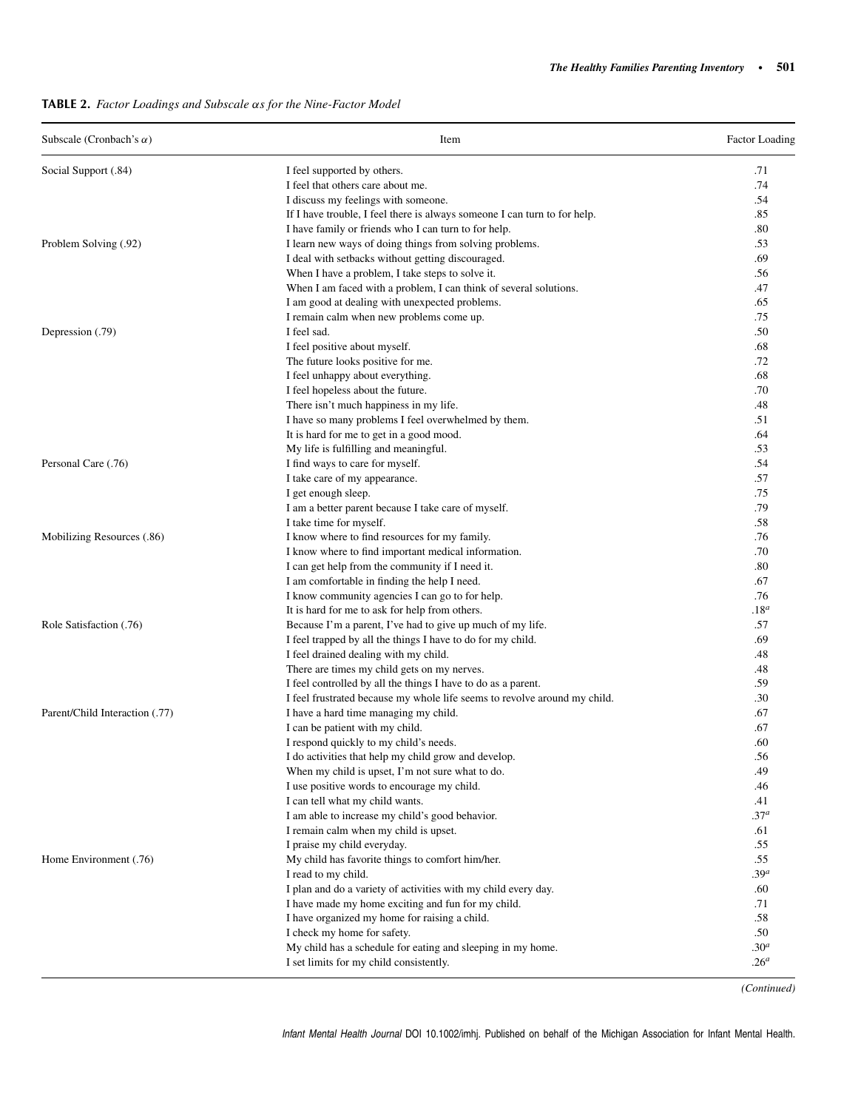|  |  |  | TABLE 2. Factor Loadings and Subscale as for the Nine-Factor Model |  |  |  |  |  |
|--|--|--|--------------------------------------------------------------------|--|--|--|--|--|
|--|--|--|--------------------------------------------------------------------|--|--|--|--|--|

| Subscale (Cronbach's $\alpha$ ) | Item                                                                                                   | Factor Loading                       |  |
|---------------------------------|--------------------------------------------------------------------------------------------------------|--------------------------------------|--|
| Social Support (.84)            | I feel supported by others.                                                                            | .71                                  |  |
|                                 | I feel that others care about me.                                                                      | .74                                  |  |
|                                 | I discuss my feelings with someone.                                                                    | .54                                  |  |
|                                 | If I have trouble, I feel there is always someone I can turn to for help.                              | .85                                  |  |
|                                 | I have family or friends who I can turn to for help.                                                   | .80                                  |  |
| Problem Solving (.92)           | I learn new ways of doing things from solving problems.                                                | .53                                  |  |
|                                 | I deal with setbacks without getting discouraged.                                                      | .69                                  |  |
|                                 | When I have a problem, I take steps to solve it.                                                       | .56                                  |  |
|                                 | When I am faced with a problem, I can think of several solutions.                                      | .47                                  |  |
|                                 | I am good at dealing with unexpected problems.                                                         | .65                                  |  |
|                                 | I remain calm when new problems come up.                                                               | .75                                  |  |
| Depression (.79)                | I feel sad.                                                                                            | .50                                  |  |
|                                 | I feel positive about myself.                                                                          | .68                                  |  |
|                                 | The future looks positive for me.                                                                      | .72                                  |  |
|                                 | I feel unhappy about everything.                                                                       | .68                                  |  |
|                                 | I feel hopeless about the future.                                                                      | .70                                  |  |
|                                 | There isn't much happiness in my life.                                                                 | .48                                  |  |
|                                 | I have so many problems I feel overwhelmed by them.                                                    | .51                                  |  |
|                                 | It is hard for me to get in a good mood.                                                               | .64                                  |  |
|                                 | My life is fulfilling and meaningful.                                                                  | .53                                  |  |
| Personal Care (.76)             | I find ways to care for myself.                                                                        | .54                                  |  |
|                                 | I take care of my appearance.                                                                          | .57                                  |  |
|                                 | I get enough sleep.                                                                                    | .75                                  |  |
|                                 | I am a better parent because I take care of myself.                                                    | .79                                  |  |
|                                 | I take time for myself.                                                                                | .58                                  |  |
| Mobilizing Resources (.86)      | I know where to find resources for my family.                                                          | .76                                  |  |
|                                 | I know where to find important medical information.                                                    | .70                                  |  |
|                                 | I can get help from the community if I need it.                                                        | .80                                  |  |
|                                 | I am comfortable in finding the help I need.                                                           | .67                                  |  |
|                                 | I know community agencies I can go to for help.                                                        | .76                                  |  |
|                                 | It is hard for me to ask for help from others.                                                         | .18 <sup>a</sup>                     |  |
| Role Satisfaction (.76)         | Because I'm a parent, I've had to give up much of my life.                                             | .57                                  |  |
|                                 | I feel trapped by all the things I have to do for my child.                                            | .69                                  |  |
|                                 | I feel drained dealing with my child.                                                                  | .48                                  |  |
|                                 | There are times my child gets on my nerves.                                                            | .48                                  |  |
|                                 | I feel controlled by all the things I have to do as a parent.                                          | .59                                  |  |
|                                 | I feel frustrated because my whole life seems to revolve around my child.                              | .30                                  |  |
| Parent/Child Interaction (.77)  | I have a hard time managing my child.                                                                  | .67                                  |  |
|                                 | I can be patient with my child.                                                                        | .67                                  |  |
|                                 | I respond quickly to my child's needs.                                                                 | .60                                  |  |
|                                 | I do activities that help my child grow and develop.                                                   | .56                                  |  |
|                                 | When my child is upset, I'm not sure what to do.                                                       | .49                                  |  |
|                                 | I use positive words to encourage my child.                                                            | .46                                  |  |
|                                 | I can tell what my child wants.                                                                        | .41                                  |  |
|                                 | I am able to increase my child's good behavior.                                                        | .37 <sup>a</sup>                     |  |
|                                 | I remain calm when my child is upset.                                                                  | .61                                  |  |
|                                 | I praise my child everyday.                                                                            | .55                                  |  |
| Home Environment (.76)          | My child has favorite things to comfort him/her.                                                       | .55                                  |  |
|                                 | I read to my child.                                                                                    | .39 <sup>a</sup>                     |  |
|                                 | I plan and do a variety of activities with my child every day.                                         | .60                                  |  |
|                                 | I have made my home exciting and fun for my child.                                                     | .71                                  |  |
|                                 | I have organized my home for raising a child.<br>I check my home for safety.                           | .58                                  |  |
|                                 |                                                                                                        | .50                                  |  |
|                                 | My child has a schedule for eating and sleeping in my home.<br>I set limits for my child consistently. | .30 <sup>a</sup><br>.26 <sup>a</sup> |  |
|                                 |                                                                                                        |                                      |  |

*(Continued)*

Infant Mental Health Journal DOI 10.1002/imhj. Published on behalf of the Michigan Association for Infant Mental Health.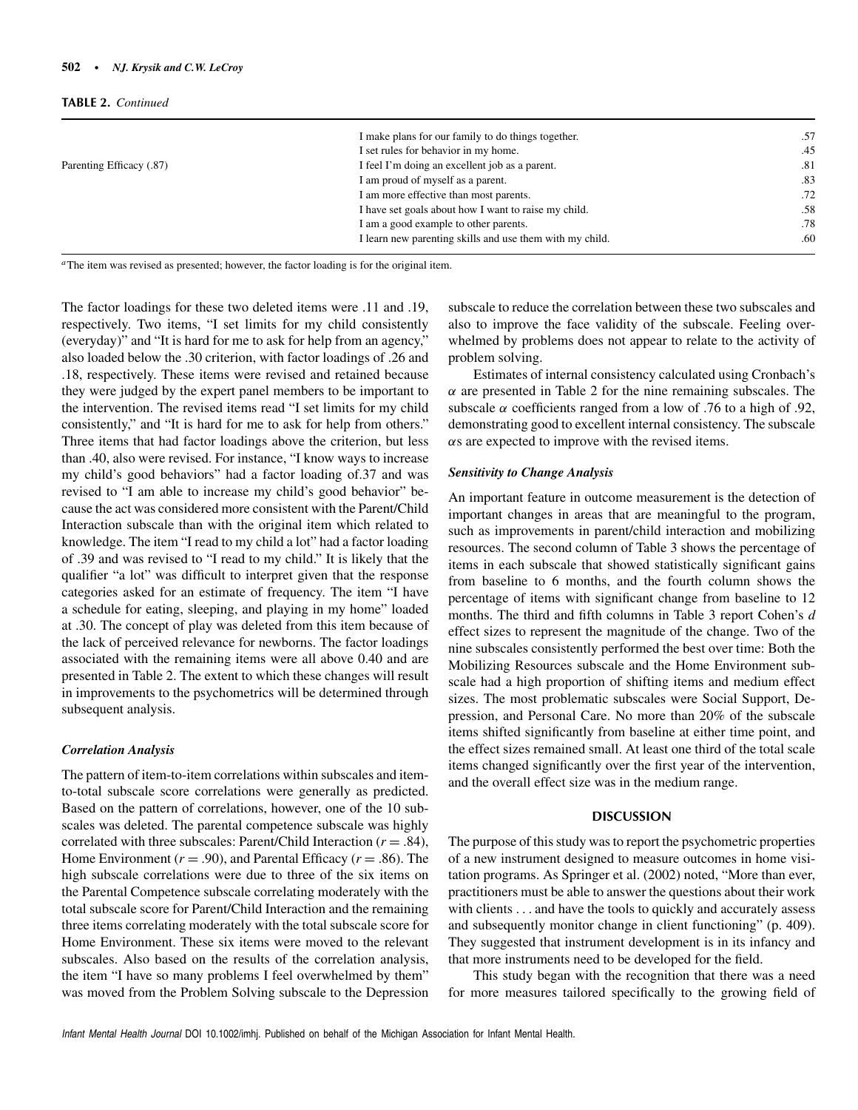|  | <b>TABLE 2. Continued</b> |
|--|---------------------------|
|--|---------------------------|

|                          | I make plans for our family to do things together.       | .57 |
|--------------------------|----------------------------------------------------------|-----|
|                          | I set rules for behavior in my home.                     | .45 |
| Parenting Efficacy (.87) | I feel I'm doing an excellent job as a parent.           | .81 |
|                          | I am proud of myself as a parent.                        | .83 |
|                          | I am more effective than most parents.                   | .72 |
|                          | I have set goals about how I want to raise my child.     | .58 |
|                          | I am a good example to other parents.                    | .78 |
|                          | I learn new parenting skills and use them with my child. | .60 |

*<sup>a</sup>*The item was revised as presented; however, the factor loading is for the original item.

The factor loadings for these two deleted items were .11 and .19, respectively. Two items, "I set limits for my child consistently (everyday)" and "It is hard for me to ask for help from an agency," also loaded below the .30 criterion, with factor loadings of .26 and .18, respectively. These items were revised and retained because they were judged by the expert panel members to be important to the intervention. The revised items read "I set limits for my child consistently," and "It is hard for me to ask for help from others." Three items that had factor loadings above the criterion, but less than .40, also were revised. For instance, "I know ways to increase my child's good behaviors" had a factor loading of.37 and was revised to "I am able to increase my child's good behavior" because the act was considered more consistent with the Parent/Child Interaction subscale than with the original item which related to knowledge. The item "I read to my child a lot" had a factor loading of .39 and was revised to "I read to my child." It is likely that the qualifier "a lot" was difficult to interpret given that the response categories asked for an estimate of frequency. The item "I have a schedule for eating, sleeping, and playing in my home" loaded at .30. The concept of play was deleted from this item because of the lack of perceived relevance for newborns. The factor loadings associated with the remaining items were all above 0.40 and are presented in Table 2. The extent to which these changes will result in improvements to the psychometrics will be determined through subsequent analysis.

## *Correlation Analysis*

The pattern of item-to-item correlations within subscales and itemto-total subscale score correlations were generally as predicted. Based on the pattern of correlations, however, one of the 10 subscales was deleted. The parental competence subscale was highly correlated with three subscales: Parent/Child Interaction (*r* = .84), Home Environment  $(r = .90)$ , and Parental Efficacy  $(r = .86)$ . The high subscale correlations were due to three of the six items on the Parental Competence subscale correlating moderately with the total subscale score for Parent/Child Interaction and the remaining three items correlating moderately with the total subscale score for Home Environment. These six items were moved to the relevant subscales. Also based on the results of the correlation analysis, the item "I have so many problems I feel overwhelmed by them" was moved from the Problem Solving subscale to the Depression

subscale to reduce the correlation between these two subscales and also to improve the face validity of the subscale. Feeling overwhelmed by problems does not appear to relate to the activity of problem solving.

Estimates of internal consistency calculated using Cronbach's  $\alpha$  are presented in Table 2 for the nine remaining subscales. The subscale  $\alpha$  coefficients ranged from a low of .76 to a high of .92, demonstrating good to excellent internal consistency. The subscale *α*s are expected to improve with the revised items.

## *Sensitivity to Change Analysis*

An important feature in outcome measurement is the detection of important changes in areas that are meaningful to the program, such as improvements in parent/child interaction and mobilizing resources. The second column of Table 3 shows the percentage of items in each subscale that showed statistically significant gains from baseline to 6 months, and the fourth column shows the percentage of items with significant change from baseline to 12 months. The third and fifth columns in Table 3 report Cohen's *d* effect sizes to represent the magnitude of the change. Two of the nine subscales consistently performed the best over time: Both the Mobilizing Resources subscale and the Home Environment subscale had a high proportion of shifting items and medium effect sizes. The most problematic subscales were Social Support, Depression, and Personal Care. No more than 20% of the subscale items shifted significantly from baseline at either time point, and the effect sizes remained small. At least one third of the total scale items changed significantly over the first year of the intervention, and the overall effect size was in the medium range.

# **DISCUSSION**

The purpose of this study was to report the psychometric properties of a new instrument designed to measure outcomes in home visitation programs. As Springer et al. (2002) noted, "More than ever, practitioners must be able to answer the questions about their work with clients . . . and have the tools to quickly and accurately assess and subsequently monitor change in client functioning" (p. 409). They suggested that instrument development is in its infancy and that more instruments need to be developed for the field.

This study began with the recognition that there was a need for more measures tailored specifically to the growing field of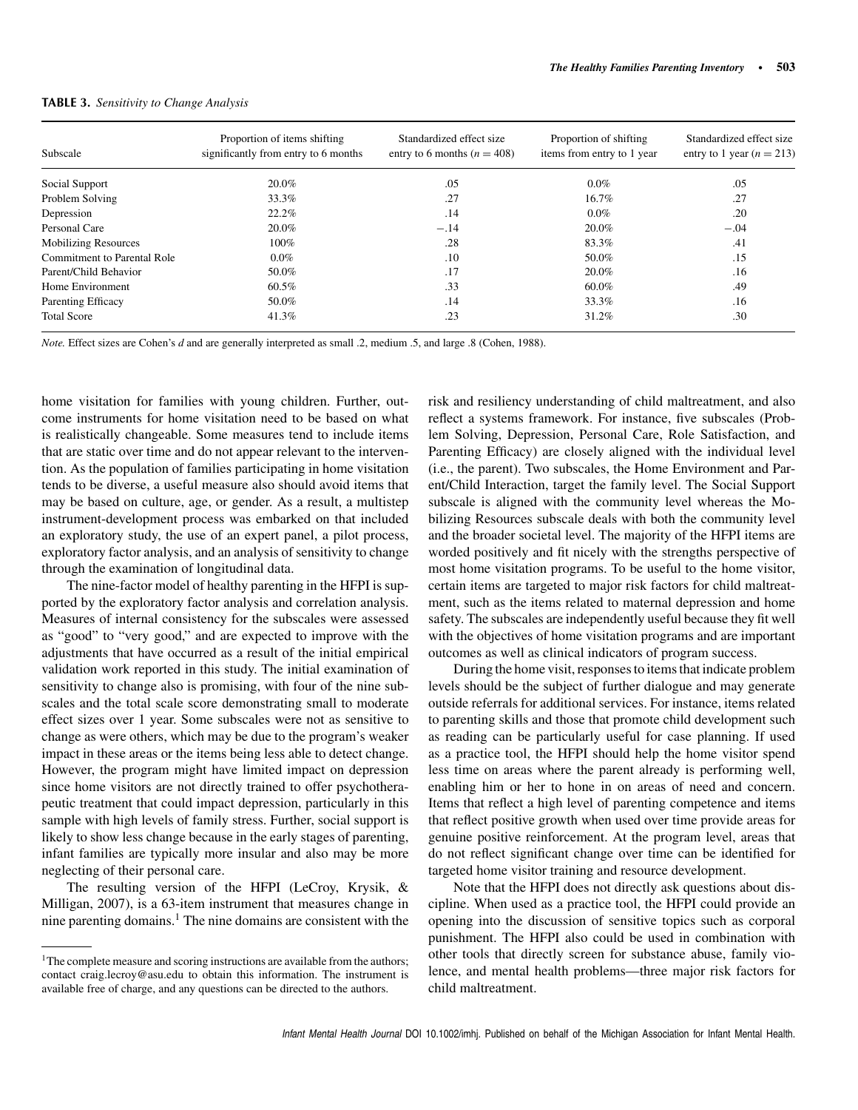| Subscale                    | Proportion of items shifting<br>significantly from entry to 6 months | Standardized effect size<br>entry to 6 months ( $n = 408$ ) | Proportion of shifting<br>items from entry to 1 year | Standardized effect size<br>entry to 1 year ( $n = 213$ ) |  |
|-----------------------------|----------------------------------------------------------------------|-------------------------------------------------------------|------------------------------------------------------|-----------------------------------------------------------|--|
| Social Support              | 20.0%                                                                | .05                                                         | $0.0\%$                                              | .05                                                       |  |
| Problem Solving             | 33.3%                                                                | .27                                                         | 16.7%                                                | .27                                                       |  |
| Depression                  | 22.2%                                                                | .14                                                         | $0.0\%$                                              | .20                                                       |  |
| Personal Care               | 20.0%                                                                | $-.14$                                                      | 20.0%                                                | $-.04$                                                    |  |
| <b>Mobilizing Resources</b> | 100%                                                                 | .28                                                         | 83.3%                                                | .41                                                       |  |
| Commitment to Parental Role | $0.0\%$                                                              | .10                                                         | 50.0%                                                | .15                                                       |  |
| Parent/Child Behavior       | 50.0%                                                                | .17                                                         | 20.0%                                                | .16                                                       |  |
| Home Environment            | 60.5%                                                                | .33                                                         | 60.0%                                                | .49                                                       |  |
| Parenting Efficacy          | 50.0%                                                                | .14                                                         | 33.3%                                                | .16                                                       |  |
| <b>Total Score</b>          | 41.3%                                                                | .23                                                         | 31.2%                                                | .30                                                       |  |

## **TABLE 3.** *Sensitivity to Change Analysis*

*Note.* Effect sizes are Cohen's *d* and are generally interpreted as small .2, medium .5, and large .8 (Cohen, 1988).

home visitation for families with young children. Further, outcome instruments for home visitation need to be based on what is realistically changeable. Some measures tend to include items that are static over time and do not appear relevant to the intervention. As the population of families participating in home visitation tends to be diverse, a useful measure also should avoid items that may be based on culture, age, or gender. As a result, a multistep instrument-development process was embarked on that included an exploratory study, the use of an expert panel, a pilot process, exploratory factor analysis, and an analysis of sensitivity to change through the examination of longitudinal data.

The nine-factor model of healthy parenting in the HFPI is supported by the exploratory factor analysis and correlation analysis. Measures of internal consistency for the subscales were assessed as "good" to "very good," and are expected to improve with the adjustments that have occurred as a result of the initial empirical validation work reported in this study. The initial examination of sensitivity to change also is promising, with four of the nine subscales and the total scale score demonstrating small to moderate effect sizes over 1 year. Some subscales were not as sensitive to change as were others, which may be due to the program's weaker impact in these areas or the items being less able to detect change. However, the program might have limited impact on depression since home visitors are not directly trained to offer psychotherapeutic treatment that could impact depression, particularly in this sample with high levels of family stress. Further, social support is likely to show less change because in the early stages of parenting, infant families are typically more insular and also may be more neglecting of their personal care.

The resulting version of the HFPI (LeCroy, Krysik, & Milligan, 2007), is a 63-item instrument that measures change in nine parenting domains.<sup>1</sup> The nine domains are consistent with the

risk and resiliency understanding of child maltreatment, and also reflect a systems framework. For instance, five subscales (Problem Solving, Depression, Personal Care, Role Satisfaction, and Parenting Efficacy) are closely aligned with the individual level (i.e., the parent). Two subscales, the Home Environment and Parent/Child Interaction, target the family level. The Social Support subscale is aligned with the community level whereas the Mobilizing Resources subscale deals with both the community level and the broader societal level. The majority of the HFPI items are worded positively and fit nicely with the strengths perspective of most home visitation programs. To be useful to the home visitor, certain items are targeted to major risk factors for child maltreatment, such as the items related to maternal depression and home safety. The subscales are independently useful because they fit well with the objectives of home visitation programs and are important outcomes as well as clinical indicators of program success.

During the home visit, responses to items that indicate problem levels should be the subject of further dialogue and may generate outside referrals for additional services. For instance, items related to parenting skills and those that promote child development such as reading can be particularly useful for case planning. If used as a practice tool, the HFPI should help the home visitor spend less time on areas where the parent already is performing well, enabling him or her to hone in on areas of need and concern. Items that reflect a high level of parenting competence and items that reflect positive growth when used over time provide areas for genuine positive reinforcement. At the program level, areas that do not reflect significant change over time can be identified for targeted home visitor training and resource development.

Note that the HFPI does not directly ask questions about discipline. When used as a practice tool, the HFPI could provide an opening into the discussion of sensitive topics such as corporal punishment. The HFPI also could be used in combination with other tools that directly screen for substance abuse, family violence, and mental health problems—three major risk factors for child maltreatment.

<sup>&</sup>lt;sup>1</sup>The complete measure and scoring instructions are available from the authors; contact craig.lecroy@asu.edu to obtain this information. The instrument is available free of charge, and any questions can be directed to the authors.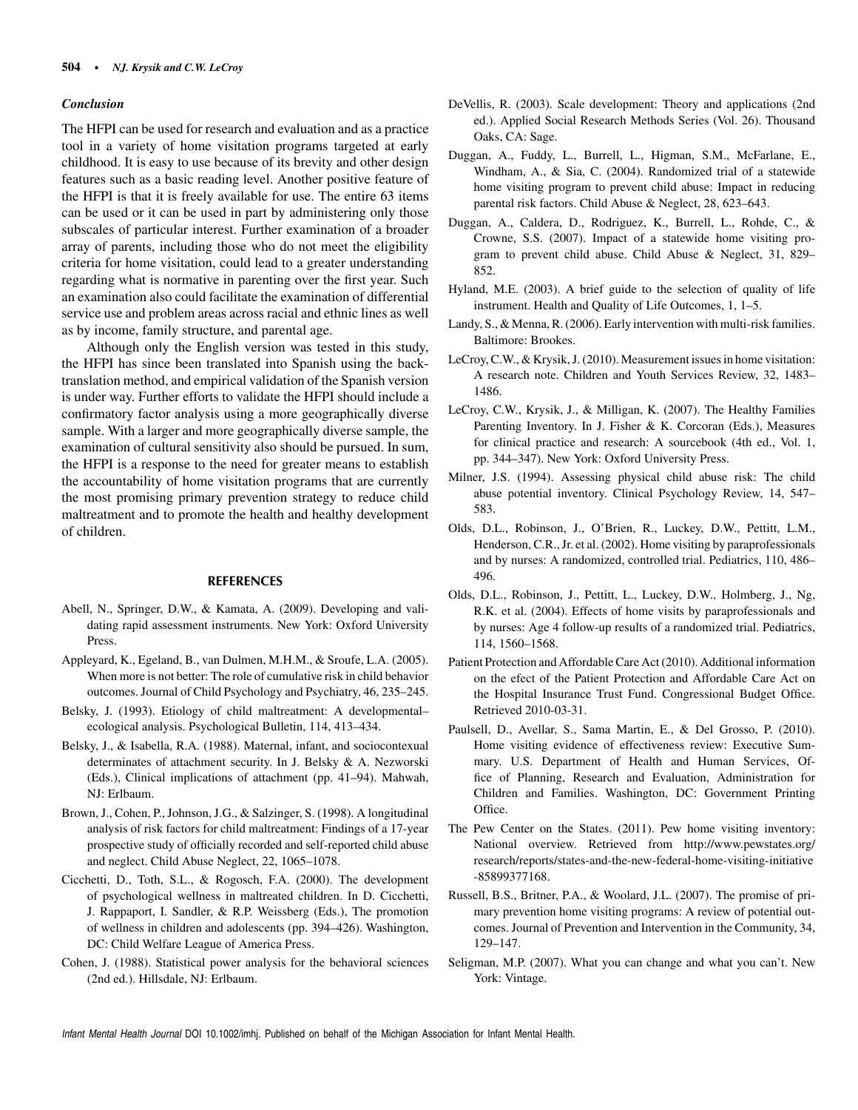## *Conclusion*

The HFPI can be used for research and evaluation and as a practice tool in a variety of home visitation programs targeted at early childhood. It is easy to use because of its brevity and other design features such as a basic reading level. Another positive feature of the HFPI is that it is freely available for use. The entire 63 items can be used or it can be used in part by administering only those subscales of particular interest. Further examination of a broader array of parents, including those who do not meet the eligibility criteria for home visitation, could lead to a greater understanding regarding what is normative in parenting over the first year. Such an examination also could facilitate the examination of differential service use and problem areas across racial and ethnic lines as well as by income, family structure, and parental age.

Although only the English version was tested in this study, the HFPI has since been translated into Spanish using the backtranslation method, and empirical validation of the Spanish version is under way. Further efforts to validate the HFPI should include a confirmatory factor analysis using a more geographically diverse sample. With a larger and more geographically diverse sample, the examination of cultural sensitivity also should be pursued. In sum, the HFPI is a response to the need for greater means to establish the accountability of home visitation programs that are currently the most promising primary prevention strategy to reduce child maltreatment and to promote the health and healthy development of children.

## **REFERENCES**

- Abell, N., Springer, D.W., & Kamata, A. (2009). Developing and validating rapid assessment instruments. New York: Oxford University Press.
- Appleyard, K., Egeland, B., van Dulmen, M.H.M., & Sroufe, L.A. (2005). When more is not better: The role of cumulative risk in child behavior outcomes. Journal of Child Psychology and Psychiatry, 46, 235–245.
- Belsky, J. (1993). Etiology of child maltreatment: A developmental– ecological analysis. Psychological Bulletin, 114, 413–434.
- Belsky, J., & Isabella, R.A. (1988). Maternal, infant, and sociocontexual determinates of attachment security. In J. Belsky & A. Nezworski (Eds.), Clinical implications of attachment (pp. 41–94). Mahwah, NJ: Erlbaum.
- Brown, J., Cohen, P., Johnson, J.G., & Salzinger, S. (1998). A longitudinal analysis of risk factors for child maltreatment: Findings of a 17-year prospective study of officially recorded and self-reported child abuse and neglect. Child Abuse Neglect, 22, 1065–1078.
- Cicchetti, D., Toth, S.L., & Rogosch, F.A. (2000). The development of psychological wellness in maltreated children. In D. Cicchetti, J. Rappaport, I. Sandler, & R.P. Weissberg (Eds.), The promotion of wellness in children and adolescents (pp. 394–426). Washington, DC: Child Welfare League of America Press.
- Cohen, J. (1988). Statistical power analysis for the behavioral sciences (2nd ed.). Hillsdale, NJ: Erlbaum.
- DeVellis, R. (2003). Scale development: Theory and applications (2nd ed.). Applied Social Research Methods Series (Vol. 26). Thousand Oaks, CA: Sage.
- Duggan, A., Fuddy, L., Burrell, L., Higman, S.M., McFarlane, E., Windham, A., & Sia, C. (2004). Randomized trial of a statewide home visiting program to prevent child abuse: Impact in reducing parental risk factors. Child Abuse & Neglect, 28, 623–643.
- Duggan, A., Caldera, D., Rodriguez, K., Burrell, L., Rohde, C., & Crowne, S.S. (2007). Impact of a statewide home visiting program to prevent child abuse. Child Abuse & Neglect, 31, 829– 852.
- Hyland, M.E. (2003). A brief guide to the selection of quality of life instrument. Health and Quality of Life Outcomes, 1, 1–5.
- Landy, S., & Menna, R. (2006). Early intervention with multi-risk families. Baltimore: Brookes.
- LeCroy, C.W., & Krysik, J. (2010). Measurement issues in home visitation: A research note. Children and Youth Services Review, 32, 1483– 1486.
- LeCroy, C.W., Krysik, J., & Milligan, K. (2007). The Healthy Families Parenting Inventory. In J. Fisher & K. Corcoran (Eds.), Measures for clinical practice and research: A sourcebook (4th ed., Vol. 1, pp. 344–347). New York: Oxford University Press.
- Milner, J.S. (1994). Assessing physical child abuse risk: The child abuse potential inventory. Clinical Psychology Review, 14, 547– 583.
- Olds, D.L., Robinson, J., O'Brien, R., Luckey, D.W., Pettitt, L.M., Henderson, C.R., Jr. et al. (2002). Home visiting by paraprofessionals and by nurses: A randomized, controlled trial. Pediatrics, 110, 486– 496.
- Olds, D.L., Robinson, J., Pettitt, L., Luckey, D.W., Holmberg, J., Ng, R.K. et al. (2004). Effects of home visits by paraprofessionals and by nurses: Age 4 follow-up results of a randomized trial. Pediatrics, 114, 1560–1568.
- Patient Protection and Affordable Care Act (2010). Additional information on the efect of the Patient Protection and Affordable Care Act on the Hospital Insurance Trust Fund. Congressional Budget Office. Retrieved 2010-03-31.
- Paulsell, D., Avellar, S., Sama Martin, E., & Del Grosso, P. (2010). Home visiting evidence of effectiveness review: Executive Summary. U.S. Department of Health and Human Services, Office of Planning, Research and Evaluation, Administration for Children and Families. Washington, DC: Government Printing Office.
- The Pew Center on the States. (2011). Pew home visiting inventory: National overview. Retrieved from http://www.pewstates.org/ research/reports/states-and-the-new-federal-home-visiting-initiative -85899377168.
- Russell, B.S., Britner, P.A., & Woolard, J.L. (2007). The promise of primary prevention home visiting programs: A review of potential outcomes. Journal of Prevention and Intervention in the Community, 34, 129–147.
- Seligman, M.P. (2007). What you can change and what you can't. New York: Vintage.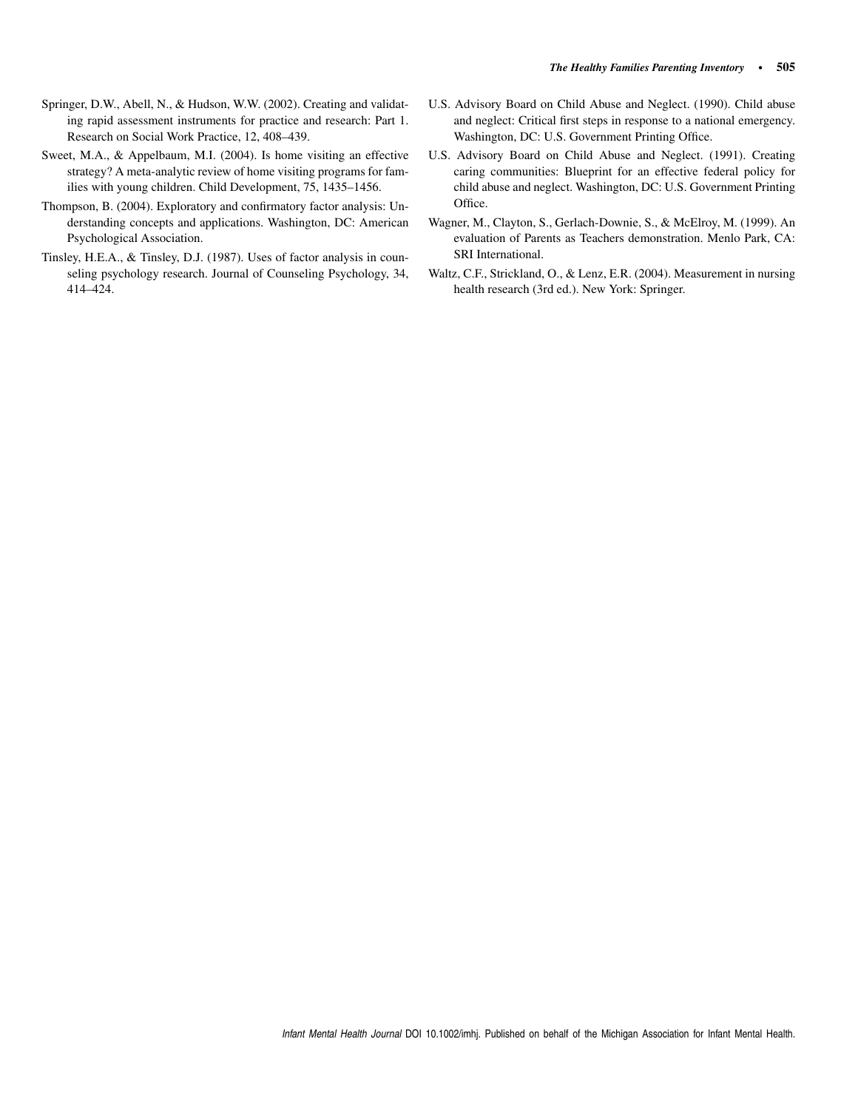- Springer, D.W., Abell, N., & Hudson, W.W. (2002). Creating and validating rapid assessment instruments for practice and research: Part 1. Research on Social Work Practice, 12, 408–439.
- Sweet, M.A., & Appelbaum, M.I. (2004). Is home visiting an effective strategy? A meta-analytic review of home visiting programs for families with young children. Child Development, 75, 1435–1456.
- Thompson, B. (2004). Exploratory and confirmatory factor analysis: Understanding concepts and applications. Washington, DC: American Psychological Association.
- Tinsley, H.E.A., & Tinsley, D.J. (1987). Uses of factor analysis in counseling psychology research. Journal of Counseling Psychology, 34, 414–424.
- U.S. Advisory Board on Child Abuse and Neglect. (1990). Child abuse and neglect: Critical first steps in response to a national emergency. Washington, DC: U.S. Government Printing Office.
- U.S. Advisory Board on Child Abuse and Neglect. (1991). Creating caring communities: Blueprint for an effective federal policy for child abuse and neglect. Washington, DC: U.S. Government Printing Office.
- Wagner, M., Clayton, S., Gerlach-Downie, S., & McElroy, M. (1999). An evaluation of Parents as Teachers demonstration. Menlo Park, CA: SRI International.
- Waltz, C.F., Strickland, O., & Lenz, E.R. (2004). Measurement in nursing health research (3rd ed.). New York: Springer.